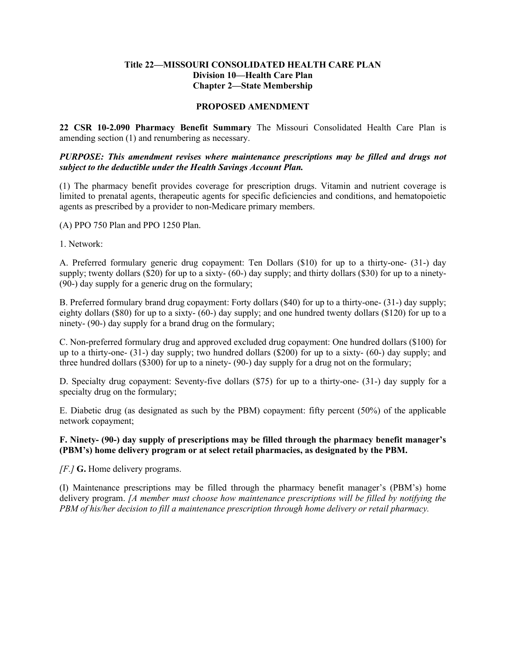#### **Title 22—MISSOURI CONSOLIDATED HEALTH CARE PLAN Division 10—Health Care Plan Chapter 2—State Membership**

### **PROPOSED AMENDMENT**

**22 CSR 10-2.090 Pharmacy Benefit Summary** The Missouri Consolidated Health Care Plan is amending section (1) and renumbering as necessary.

### *PURPOSE: This amendment revises where maintenance prescriptions may be filled and drugs not subject to the deductible under the Health Savings Account Plan.*

(1) The pharmacy benefit provides coverage for prescription drugs. Vitamin and nutrient coverage is limited to prenatal agents, therapeutic agents for specific deficiencies and conditions, and hematopoietic agents as prescribed by a provider to non-Medicare primary members.

(A) PPO 750 Plan and PPO 1250 Plan.

1. Network:

A. Preferred formulary generic drug copayment: Ten Dollars (\$10) for up to a thirty-one- (31-) day supply; twenty dollars (\$20) for up to a sixty- (60-) day supply; and thirty dollars (\$30) for up to a ninety- (90-) day supply for a generic drug on the formulary;

B. Preferred formulary brand drug copayment: Forty dollars (\$40) for up to a thirty-one- (31-) day supply; eighty dollars (\$80) for up to a sixty- (60-) day supply; and one hundred twenty dollars (\$120) for up to a ninety- (90-) day supply for a brand drug on the formulary;

C. Non-preferred formulary drug and approved excluded drug copayment: One hundred dollars (\$100) for up to a thirty-one- (31-) day supply; two hundred dollars (\$200) for up to a sixty- (60-) day supply; and three hundred dollars (\$300) for up to a ninety- (90-) day supply for a drug not on the formulary;

D. Specialty drug copayment: Seventy-five dollars (\$75) for up to a thirty-one- (31-) day supply for a specialty drug on the formulary;

E. Diabetic drug (as designated as such by the PBM) copayment: fifty percent (50%) of the applicable network copayment;

## **F. Ninety- (90-) day supply of prescriptions may be filled through the pharmacy benefit manager's (PBM's) home delivery program or at select retail pharmacies, as designated by the PBM.**

*[F.]* **G.** Home delivery programs.

(I) Maintenance prescriptions may be filled through the pharmacy benefit manager's (PBM's) home delivery program. *[A member must choose how maintenance prescriptions will be filled by notifying the PBM of his/her decision to fill a maintenance prescription through home delivery or retail pharmacy.*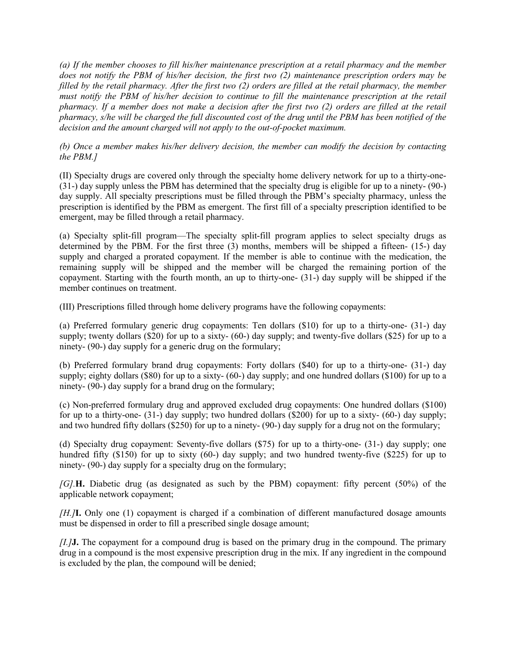*(a) If the member chooses to fill his/her maintenance prescription at a retail pharmacy and the member does not notify the PBM of his/her decision, the first two (2) maintenance prescription orders may be filled by the retail pharmacy. After the first two (2) orders are filled at the retail pharmacy, the member must notify the PBM of his/her decision to continue to fill the maintenance prescription at the retail pharmacy. If a member does not make a decision after the first two (2) orders are filled at the retail pharmacy, s/he will be charged the full discounted cost of the drug until the PBM has been notified of the decision and the amount charged will not apply to the out-of-pocket maximum.*

*(b) Once a member makes his/her delivery decision, the member can modify the decision by contacting the PBM.]*

(II) Specialty drugs are covered only through the specialty home delivery network for up to a thirty-one- (31-) day supply unless the PBM has determined that the specialty drug is eligible for up to a ninety- (90-) day supply. All specialty prescriptions must be filled through the PBM's specialty pharmacy, unless the prescription is identified by the PBM as emergent. The first fill of a specialty prescription identified to be emergent, may be filled through a retail pharmacy.

(a) Specialty split-fill program—The specialty split-fill program applies to select specialty drugs as determined by the PBM. For the first three (3) months, members will be shipped a fifteen- (15-) day supply and charged a prorated copayment. If the member is able to continue with the medication, the remaining supply will be shipped and the member will be charged the remaining portion of the copayment. Starting with the fourth month, an up to thirty-one- (31-) day supply will be shipped if the member continues on treatment.

(III) Prescriptions filled through home delivery programs have the following copayments:

(a) Preferred formulary generic drug copayments: Ten dollars (\$10) for up to a thirty-one- (31-) day supply; twenty dollars (\$20) for up to a sixty- (60-) day supply; and twenty-five dollars (\$25) for up to a ninety- (90-) day supply for a generic drug on the formulary;

(b) Preferred formulary brand drug copayments: Forty dollars (\$40) for up to a thirty-one- (31-) day supply; eighty dollars (\$80) for up to a sixty- (60-) day supply; and one hundred dollars (\$100) for up to a ninety- (90-) day supply for a brand drug on the formulary;

(c) Non-preferred formulary drug and approved excluded drug copayments: One hundred dollars (\$100) for up to a thirty-one-  $(31-)$  day supply; two hundred dollars  $(\$200)$  for up to a sixty-  $(60-)$  day supply; and two hundred fifty dollars (\$250) for up to a ninety- (90-) day supply for a drug not on the formulary;

(d) Specialty drug copayment: Seventy-five dollars (\$75) for up to a thirty-one- (31-) day supply; one hundred fifty (\$150) for up to sixty (60-) day supply; and two hundred twenty-five (\$225) for up to ninety- (90-) day supply for a specialty drug on the formulary;

*[G].***H.** Diabetic drug (as designated as such by the PBM) copayment: fifty percent (50%) of the applicable network copayment;

*[H.]***I.** Only one (1) copayment is charged if a combination of different manufactured dosage amounts must be dispensed in order to fill a prescribed single dosage amount;

*[I.]***J.** The copayment for a compound drug is based on the primary drug in the compound. The primary drug in a compound is the most expensive prescription drug in the mix. If any ingredient in the compound is excluded by the plan, the compound will be denied;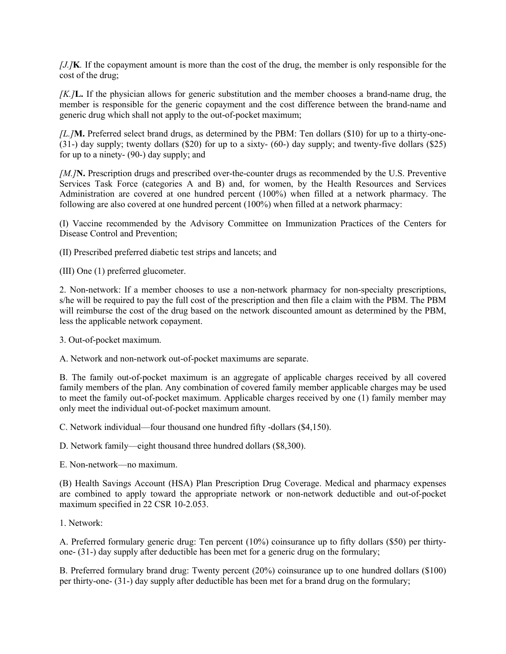*[J.]***K***.* If the copayment amount is more than the cost of the drug, the member is only responsible for the cost of the drug;

*[K.]***L.** If the physician allows for generic substitution and the member chooses a brand-name drug, the member is responsible for the generic copayment and the cost difference between the brand-name and generic drug which shall not apply to the out-of-pocket maximum;

*[L.]***M.** Preferred select brand drugs, as determined by the PBM: Ten dollars (\$10) for up to a thirty-one- (31-) day supply; twenty dollars (\$20) for up to a sixty- (60-) day supply; and twenty-five dollars (\$25) for up to a ninety- (90-) day supply; and

*[M.]***N.** Prescription drugs and prescribed over-the-counter drugs as recommended by the U.S. Preventive Services Task Force (categories A and B) and, for women, by the Health Resources and Services Administration are covered at one hundred percent (100%) when filled at a network pharmacy. The following are also covered at one hundred percent (100%) when filled at a network pharmacy:

(I) Vaccine recommended by the Advisory Committee on Immunization Practices of the Centers for Disease Control and Prevention;

(II) Prescribed preferred diabetic test strips and lancets; and

(III) One (1) preferred glucometer.

2. Non-network: If a member chooses to use a non-network pharmacy for non-specialty prescriptions, s/he will be required to pay the full cost of the prescription and then file a claim with the PBM. The PBM will reimburse the cost of the drug based on the network discounted amount as determined by the PBM, less the applicable network copayment.

3. Out-of-pocket maximum.

A. Network and non-network out-of-pocket maximums are separate.

B. The family out-of-pocket maximum is an aggregate of applicable charges received by all covered family members of the plan. Any combination of covered family member applicable charges may be used to meet the family out-of-pocket maximum. Applicable charges received by one (1) family member may only meet the individual out-of-pocket maximum amount.

C. Network individual—four thousand one hundred fifty -dollars (\$4,150).

D. Network family—eight thousand three hundred dollars (\$8,300).

E. Non-network—no maximum.

(B) Health Savings Account (HSA) Plan Prescription Drug Coverage. Medical and pharmacy expenses are combined to apply toward the appropriate network or non-network deductible and out-of-pocket maximum specified in 22 CSR 10-2.053.

1. Network:

A. Preferred formulary generic drug: Ten percent (10%) coinsurance up to fifty dollars (\$50) per thirtyone- (31-) day supply after deductible has been met for a generic drug on the formulary;

B. Preferred formulary brand drug: Twenty percent (20%) coinsurance up to one hundred dollars (\$100) per thirty-one- (31-) day supply after deductible has been met for a brand drug on the formulary;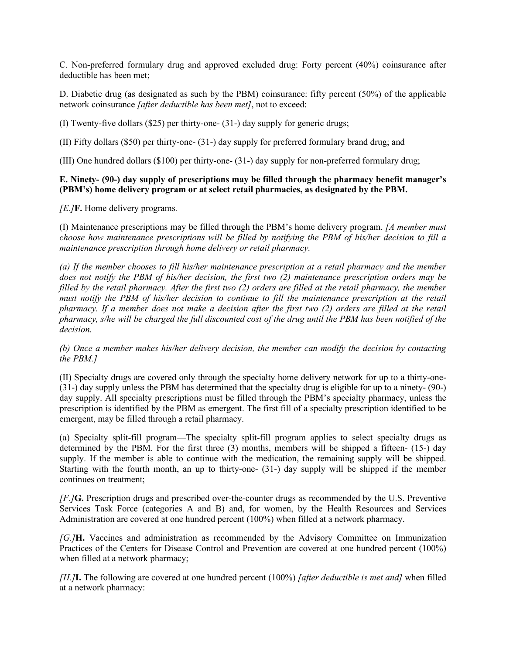C. Non-preferred formulary drug and approved excluded drug: Forty percent (40%) coinsurance after deductible has been met;

D. Diabetic drug (as designated as such by the PBM) coinsurance: fifty percent (50%) of the applicable network coinsurance *[after deductible has been met]*, not to exceed:

(I) Twenty-five dollars (\$25) per thirty-one- (31-) day supply for generic drugs;

(II) Fifty dollars (\$50) per thirty-one- (31-) day supply for preferred formulary brand drug; and

(III) One hundred dollars (\$100) per thirty-one- (31-) day supply for non-preferred formulary drug;

# **E. Ninety- (90-) day supply of prescriptions may be filled through the pharmacy benefit manager's (PBM's) home delivery program or at select retail pharmacies, as designated by the PBM.**

*[E.]***F.** Home delivery programs*.*

(I) Maintenance prescriptions may be filled through the PBM's home delivery program. *[A member must choose how maintenance prescriptions will be filled by notifying the PBM of his/her decision to fill a maintenance prescription through home delivery or retail pharmacy.*

*(a) If the member chooses to fill his/her maintenance prescription at a retail pharmacy and the member does not notify the PBM of his/her decision, the first two (2) maintenance prescription orders may be filled by the retail pharmacy. After the first two (2) orders are filled at the retail pharmacy, the member must notify the PBM of his/her decision to continue to fill the maintenance prescription at the retail pharmacy. If a member does not make a decision after the first two (2) orders are filled at the retail pharmacy, s/he will be charged the full discounted cost of the drug until the PBM has been notified of the decision.*

*(b) Once a member makes his/her delivery decision, the member can modify the decision by contacting the PBM.]*

(II) Specialty drugs are covered only through the specialty home delivery network for up to a thirty-one- (31-) day supply unless the PBM has determined that the specialty drug is eligible for up to a ninety- (90-) day supply. All specialty prescriptions must be filled through the PBM's specialty pharmacy, unless the prescription is identified by the PBM as emergent. The first fill of a specialty prescription identified to be emergent, may be filled through a retail pharmacy.

(a) Specialty split-fill program—The specialty split-fill program applies to select specialty drugs as determined by the PBM. For the first three (3) months, members will be shipped a fifteen- (15-) day supply. If the member is able to continue with the medication, the remaining supply will be shipped. Starting with the fourth month, an up to thirty-one- (31-) day supply will be shipped if the member continues on treatment;

*[F.]***G.** Prescription drugs and prescribed over-the-counter drugs as recommended by the U.S. Preventive Services Task Force (categories A and B) and, for women, by the Health Resources and Services Administration are covered at one hundred percent (100%) when filled at a network pharmacy.

*[G.]***H.** Vaccines and administration as recommended by the Advisory Committee on Immunization Practices of the Centers for Disease Control and Prevention are covered at one hundred percent (100%) when filled at a network pharmacy;

*[H.]***I.** The following are covered at one hundred percent (100%) *[after deductible is met and]* when filled at a network pharmacy: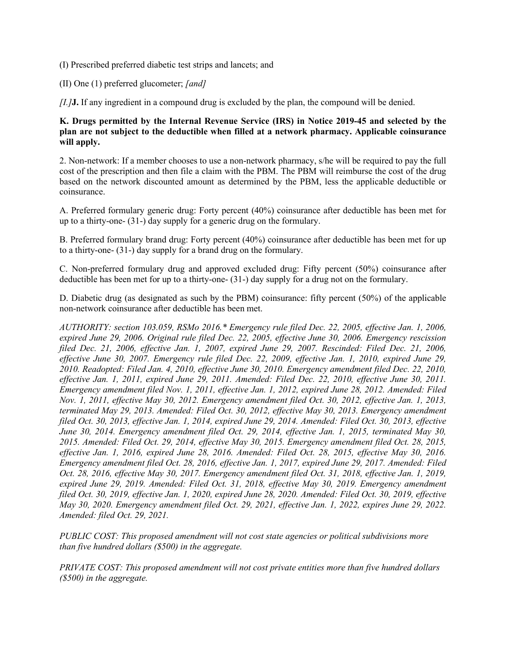(I) Prescribed preferred diabetic test strips and lancets; and

(II) One (1) preferred glucometer; *[and]*

*[I.]***J.** If any ingredient in a compound drug is excluded by the plan, the compound will be denied.

## **K. Drugs permitted by the Internal Revenue Service (IRS) in Notice 2019-45 and selected by the plan are not subject to the deductible when filled at a network pharmacy. Applicable coinsurance will apply.**

2. Non-network: If a member chooses to use a non-network pharmacy, s/he will be required to pay the full cost of the prescription and then file a claim with the PBM. The PBM will reimburse the cost of the drug based on the network discounted amount as determined by the PBM, less the applicable deductible or coinsurance.

A. Preferred formulary generic drug: Forty percent (40%) coinsurance after deductible has been met for up to a thirty-one- (31-) day supply for a generic drug on the formulary.

B. Preferred formulary brand drug: Forty percent (40%) coinsurance after deductible has been met for up to a thirty-one- (31-) day supply for a brand drug on the formulary.

C. Non-preferred formulary drug and approved excluded drug: Fifty percent (50%) coinsurance after deductible has been met for up to a thirty-one- (31-) day supply for a drug not on the formulary.

D. Diabetic drug (as designated as such by the PBM) coinsurance: fifty percent (50%) of the applicable non-network coinsurance after deductible has been met.

*AUTHORITY: section 103.059, RSMo 2016.\* Emergency rule filed Dec. 22, 2005, effective Jan. 1, 2006, expired June 29, 2006. Original rule filed Dec. 22, 2005, effective June 30, 2006. Emergency rescission filed Dec. 21, 2006, effective Jan. 1, 2007, expired June 29, 2007. Rescinded: Filed Dec. 21, 2006, effective June 30, 2007. Emergency rule filed Dec. 22, 2009, effective Jan. 1, 2010, expired June 29, 2010. Readopted: Filed Jan. 4, 2010, effective June 30, 2010. Emergency amendment filed Dec. 22, 2010, effective Jan. 1, 2011, expired June 29, 2011. Amended: Filed Dec. 22, 2010, effective June 30, 2011. Emergency amendment filed Nov. 1, 2011, effective Jan. 1, 2012, expired June 28, 2012. Amended: Filed Nov. 1, 2011, effective May 30, 2012. Emergency amendment filed Oct. 30, 2012, effective Jan. 1, 2013, terminated May 29, 2013. Amended: Filed Oct. 30, 2012, effective May 30, 2013. Emergency amendment filed Oct. 30, 2013, effective Jan. 1, 2014, expired June 29, 2014. Amended: Filed Oct. 30, 2013, effective June 30, 2014. Emergency amendment filed Oct. 29, 2014, effective Jan. 1, 2015, terminated May 30, 2015. Amended: Filed Oct. 29, 2014, effective May 30, 2015. Emergency amendment filed Oct. 28, 2015, effective Jan. 1, 2016, expired June 28, 2016. Amended: Filed Oct. 28, 2015, effective May 30, 2016. Emergency amendment filed Oct. 28, 2016, effective Jan. 1, 2017, expired June 29, 2017. Amended: Filed Oct. 28, 2016, effective May 30, 2017. Emergency amendment filed Oct. 31, 2018, effective Jan. 1, 2019, expired June 29, 2019. Amended: Filed Oct. 31, 2018, effective May 30, 2019. Emergency amendment filed Oct. 30, 2019, effective Jan. 1, 2020, expired June 28, 2020. Amended: Filed Oct. 30, 2019, effective May 30, 2020. Emergency amendment filed Oct. 29, 2021, effective Jan. 1, 2022, expires June 29, 2022. Amended: filed Oct. 29, 2021.*

*PUBLIC COST: This proposed amendment will not cost state agencies or political subdivisions more than five hundred dollars (\$500) in the aggregate.*

*PRIVATE COST: This proposed amendment will not cost private entities more than five hundred dollars (\$500) in the aggregate.*